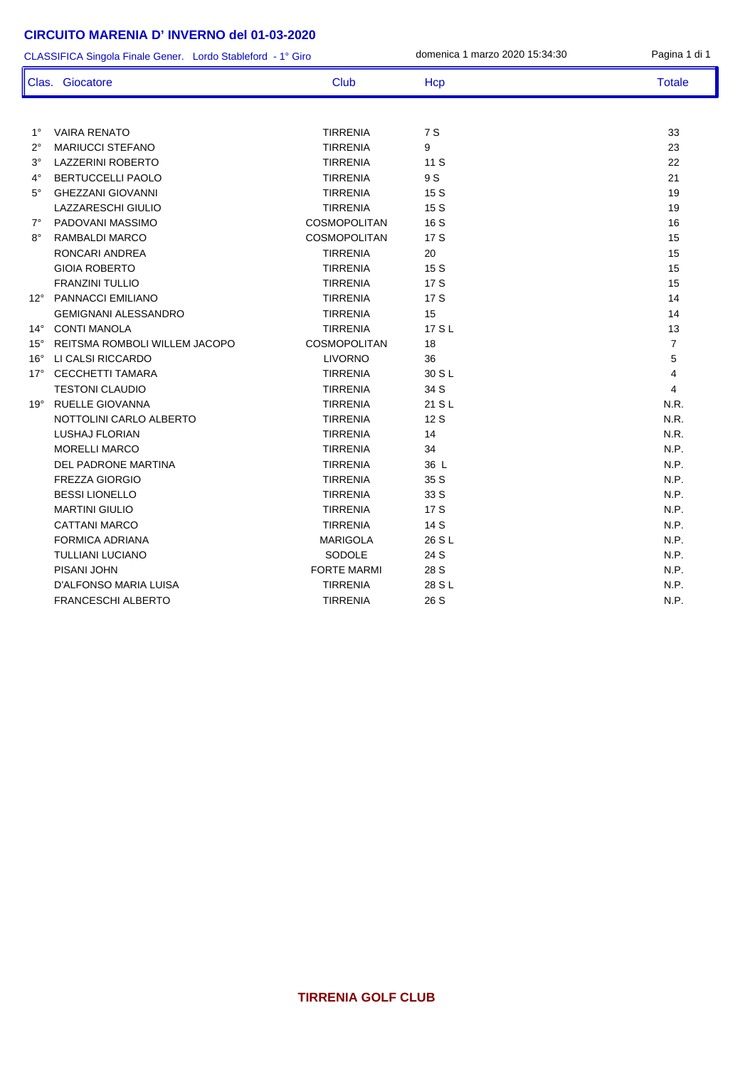## **CIRCUITO MARENIA D' INVERNO del 01-03-2020**

| CLASSIFICA Singola Finale Gener. Lordo Stableford - 1° Giro |                               |                     | domenica 1 marzo 2020 15:34:30 | Pagina 1 di 1  |
|-------------------------------------------------------------|-------------------------------|---------------------|--------------------------------|----------------|
|                                                             | Clas. Giocatore               | <b>Club</b>         | Hcp                            | <b>Totale</b>  |
|                                                             |                               |                     |                                |                |
| $1^{\circ}$                                                 | <b>VAIRA RENATO</b>           | <b>TIRRENIA</b>     | 7 S                            | 33             |
| $2^{\circ}$                                                 | <b>MARIUCCI STEFANO</b>       | <b>TIRRENIA</b>     | 9                              | 23             |
| $3^{\circ}$                                                 | <b>LAZZERINI ROBERTO</b>      | <b>TIRRENIA</b>     | 11S                            | 22             |
| $4^\circ$                                                   | <b>BERTUCCELLI PAOLO</b>      | <b>TIRRENIA</b>     | 9 S                            | 21             |
| $5^\circ$                                                   | <b>GHEZZANI GIOVANNI</b>      | <b>TIRRENIA</b>     | 15 S                           | 19             |
|                                                             | <b>LAZZARESCHI GIULIO</b>     | <b>TIRRENIA</b>     | 15 S                           | 19             |
| $7^\circ$                                                   | PADOVANI MASSIMO              | <b>COSMOPOLITAN</b> | 16 S                           | 16             |
| $8^{\circ}$                                                 | RAMBALDI MARCO                | <b>COSMOPOLITAN</b> | 17 S                           | 15             |
|                                                             | RONCARI ANDREA                | <b>TIRRENIA</b>     | 20                             | 15             |
|                                                             | <b>GIOIA ROBERTO</b>          | <b>TIRRENIA</b>     | 15 S                           | 15             |
|                                                             | <b>FRANZINI TULLIO</b>        | <b>TIRRENIA</b>     | 17S                            | 15             |
| $12^{\circ}$                                                | <b>PANNACCI EMILIANO</b>      | <b>TIRRENIA</b>     | 17S                            | 14             |
|                                                             | <b>GEMIGNANI ALESSANDRO</b>   | <b>TIRRENIA</b>     | 15                             | 14             |
| $14^{\circ}$                                                | <b>CONTI MANOLA</b>           | <b>TIRRENIA</b>     | 17 S L                         | 13             |
| $15^{\circ}$                                                | REITSMA ROMBOLI WILLEM JACOPO | <b>COSMOPOLITAN</b> | 18                             | $\overline{7}$ |
| $16^{\circ}$                                                | LI CALSI RICCARDO             | <b>LIVORNO</b>      | 36                             | 5              |
| $17^\circ$                                                  | <b>CECCHETTI TAMARA</b>       | <b>TIRRENIA</b>     | 30 S L                         | $\overline{4}$ |
|                                                             | <b>TESTONI CLAUDIO</b>        | <b>TIRRENIA</b>     | 34 S                           | $\overline{4}$ |
| $19^\circ$                                                  | RUELLE GIOVANNA               | <b>TIRRENIA</b>     | 21 S L                         | N.R.           |
|                                                             | NOTTOLINI CARLO ALBERTO       | <b>TIRRENIA</b>     | 12 S                           | N.R.           |
|                                                             | LUSHAJ FLORIAN                | <b>TIRRENIA</b>     | 14                             | N.R.           |
|                                                             | <b>MORELLI MARCO</b>          | <b>TIRRENIA</b>     | 34                             | N.P.           |
|                                                             | DEL PADRONE MARTINA           | <b>TIRRENIA</b>     | 36 L                           | N.P.           |
|                                                             | <b>FREZZA GIORGIO</b>         | <b>TIRRENIA</b>     | 35 S                           | N.P.           |
|                                                             | <b>BESSI LIONELLO</b>         | <b>TIRRENIA</b>     | 33 S                           | N.P.           |
|                                                             | <b>MARTINI GIULIO</b>         | <b>TIRRENIA</b>     | 17 S                           | N.P.           |
|                                                             | <b>CATTANI MARCO</b>          | <b>TIRRENIA</b>     | 14 S                           | N.P.           |
|                                                             | <b>FORMICA ADRIANA</b>        | <b>MARIGOLA</b>     | 26 S L                         | N.P.           |
|                                                             | <b>TULLIANI LUCIANO</b>       | SODOLE              | 24 S                           | N.P.           |
|                                                             | PISANI JOHN                   | <b>FORTE MARMI</b>  | 28 S                           | N.P.           |
|                                                             | D'ALFONSO MARIA LUISA         | <b>TIRRENIA</b>     | 28 S L                         | N.P.           |
|                                                             | <b>FRANCESCHI ALBERTO</b>     | <b>TIRRENIA</b>     | 26 S                           | N.P.           |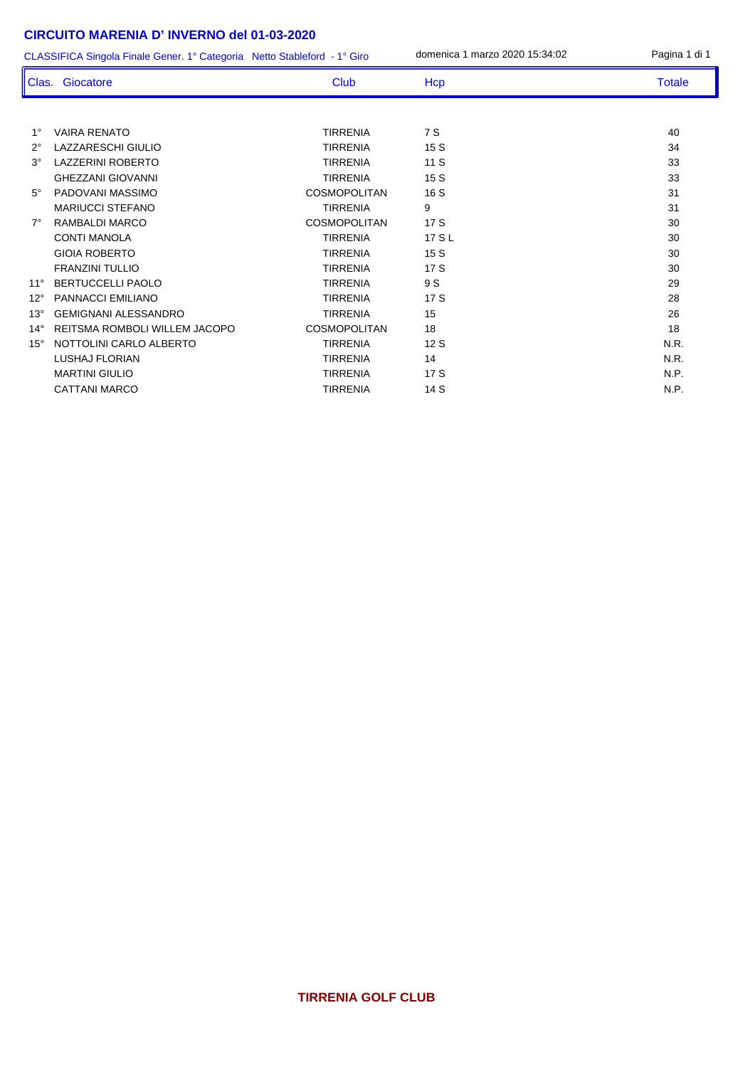## **CIRCUITO MARENIA D' INVERNO del 01-03-2020**

CLASSIFICA Singola Finale Gener. 1° Categoria Netto Stableford - 1° Giro domenica 1 marzo 2020 15:34:02 Pagina 1 di 1

|              | Clas. Giocatore               | <b>Club</b>         | Hcp    | <b>Totale</b> |
|--------------|-------------------------------|---------------------|--------|---------------|
|              |                               |                     |        |               |
| $1^{\circ}$  | <b>VAIRA RENATO</b>           | <b>TIRRENIA</b>     | 7 S    | 40            |
| $2^{\circ}$  | LAZZARESCHI GIULIO            | <b>TIRRENIA</b>     | 15S    | 34            |
| $3^\circ$    | <b>LAZZERINI ROBERTO</b>      | <b>TIRRENIA</b>     | 11S    | 33            |
|              | <b>GHEZZANI GIOVANNI</b>      | <b>TIRRENIA</b>     | 15S    | 33            |
| $5^\circ$    | PADOVANI MASSIMO              | <b>COSMOPOLITAN</b> | 16S    | 31            |
|              | <b>MARIUCCI STEFANO</b>       | <b>TIRRENIA</b>     | 9      | 31            |
| $7^\circ$    | RAMBALDI MARCO                | <b>COSMOPOLITAN</b> | 17S    | 30            |
|              | <b>CONTI MANOLA</b>           | <b>TIRRENIA</b>     | 17 S L | 30            |
|              | <b>GIOIA ROBERTO</b>          | <b>TIRRENIA</b>     | 15S    | 30            |
|              | <b>FRANZINI TULLIO</b>        | <b>TIRRENIA</b>     | 17S    | 30            |
| $11^{\circ}$ | <b>BERTUCCELLI PAOLO</b>      | <b>TIRRENIA</b>     | 9 S    | 29            |
| $12^{\circ}$ | <b>PANNACCI EMILIANO</b>      | <b>TIRRENIA</b>     | 17S    | 28            |
| $13^\circ$   | <b>GEMIGNANI ALESSANDRO</b>   | <b>TIRRENIA</b>     | 15     | 26            |
| $14^{\circ}$ | REITSMA ROMBOLI WILLEM JACOPO | <b>COSMOPOLITAN</b> | 18     | 18            |
| $15^\circ$   | NOTTOLINI CARLO ALBERTO       | <b>TIRRENIA</b>     | 12S    | N.R.          |
|              | LUSHAJ FLORIAN                | <b>TIRRENIA</b>     | 14     | N.R.          |
|              | <b>MARTINI GIULIO</b>         | <b>TIRRENIA</b>     | 17S    | N.P.          |
|              | <b>CATTANI MARCO</b>          | <b>TIRRENIA</b>     | 14 S   | N.P.          |